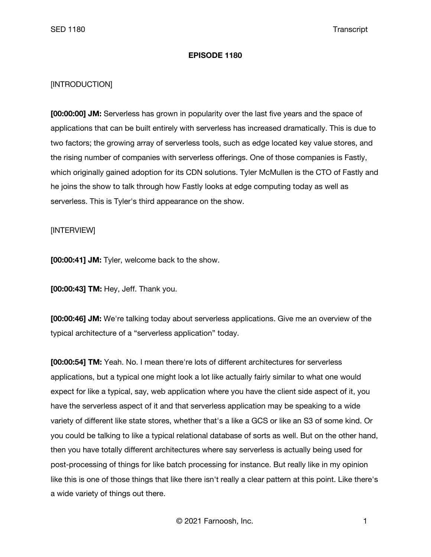## **EPISODE 1180**

## [INTRODUCTION]

**[00:00:00] JM:** Serverless has grown in popularity over the last five years and the space of applications that can be built entirely with serverless has increased dramatically. This is due to two factors; the growing array of serverless tools, such as edge located key value stores, and the rising number of companies with serverless offerings. One of those companies is Fastly, which originally gained adoption for its CDN solutions. Tyler McMullen is the CTO of Fastly and he joins the show to talk through how Fastly looks at edge computing today as well as serverless. This is Tyler's third appearance on the show.

## [INTERVIEW]

**[00:00:41] JM:** Tyler, welcome back to the show.

**[00:00:43] TM:** Hey, Jeff. Thank you.

**[00:00:46] JM:** We're talking today about serverless applications. Give me an overview of the typical architecture of a "serverless application" today.

**[00:00:54] TM:** Yeah. No. I mean there're lots of different architectures for serverless applications, but a typical one might look a lot like actually fairly similar to what one would expect for like a typical, say, web application where you have the client side aspect of it, you have the serverless aspect of it and that serverless application may be speaking to a wide variety of different like state stores, whether that's a like a GCS or like an S3 of some kind. Or you could be talking to like a typical relational database of sorts as well. But on the other hand, then you have totally different architectures where say serverless is actually being used for post-processing of things for like batch processing for instance. But really like in my opinion like this is one of those things that like there isn't really a clear pattern at this point. Like there's a wide variety of things out there.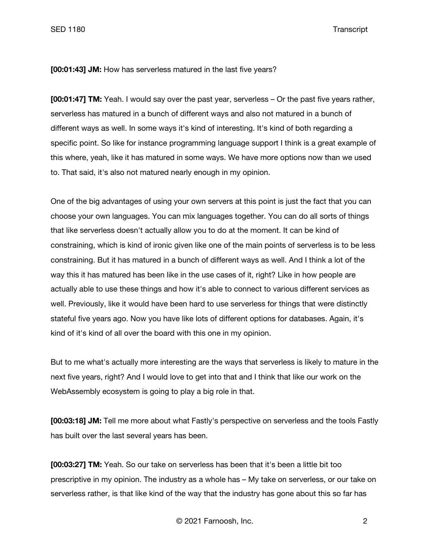SED 1180 Transcript

**[00:01:43] JM:** How has serverless matured in the last five years?

**[00:01:47] TM:** Yeah. I would say over the past year, serverless – Or the past five years rather, serverless has matured in a bunch of different ways and also not matured in a bunch of different ways as well. In some ways it's kind of interesting. It's kind of both regarding a specific point. So like for instance programming language support I think is a great example of this where, yeah, like it has matured in some ways. We have more options now than we used to. That said, it's also not matured nearly enough in my opinion.

One of the big advantages of using your own servers at this point is just the fact that you can choose your own languages. You can mix languages together. You can do all sorts of things that like serverless doesn't actually allow you to do at the moment. It can be kind of constraining, which is kind of ironic given like one of the main points of serverless is to be less constraining. But it has matured in a bunch of different ways as well. And I think a lot of the way this it has matured has been like in the use cases of it, right? Like in how people are actually able to use these things and how it's able to connect to various different services as well. Previously, like it would have been hard to use serverless for things that were distinctly stateful five years ago. Now you have like lots of different options for databases. Again, it's kind of it's kind of all over the board with this one in my opinion.

But to me what's actually more interesting are the ways that serverless is likely to mature in the next five years, right? And I would love to get into that and I think that like our work on the WebAssembly ecosystem is going to play a big role in that.

**[00:03:18] JM:** Tell me more about what Fastly's perspective on serverless and the tools Fastly has built over the last several years has been.

**[00:03:27] TM:** Yeah. So our take on serverless has been that it's been a little bit too prescriptive in my opinion. The industry as a whole has – My take on serverless, or our take on serverless rather, is that like kind of the way that the industry has gone about this so far has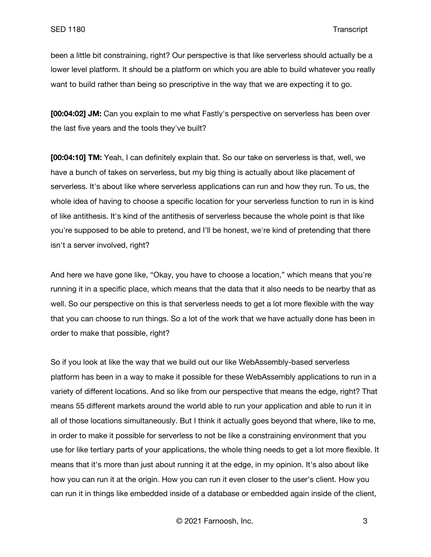been a little bit constraining, right? Our perspective is that like serverless should actually be a lower level platform. It should be a platform on which you are able to build whatever you really want to build rather than being so prescriptive in the way that we are expecting it to go.

**[00:04:02] JM:** Can you explain to me what Fastly's perspective on serverless has been over the last five years and the tools they've built?

**[00:04:10] TM:** Yeah, I can definitely explain that. So our take on serverless is that, well, we have a bunch of takes on serverless, but my big thing is actually about like placement of serverless. It's about like where serverless applications can run and how they run. To us, the whole idea of having to choose a specific location for your serverless function to run in is kind of like antithesis. It's kind of the antithesis of serverless because the whole point is that like you're supposed to be able to pretend, and I'll be honest, we're kind of pretending that there isn't a server involved, right?

And here we have gone like, "Okay, you have to choose a location," which means that you're running it in a specific place, which means that the data that it also needs to be nearby that as well. So our perspective on this is that serverless needs to get a lot more flexible with the way that you can choose to run things. So a lot of the work that we have actually done has been in order to make that possible, right?

So if you look at like the way that we build out our like WebAssembly-based serverless platform has been in a way to make it possible for these WebAssembly applications to run in a variety of different locations. And so like from our perspective that means the edge, right? That means 55 different markets around the world able to run your application and able to run it in all of those locations simultaneously. But I think it actually goes beyond that where, like to me, in order to make it possible for serverless to not be like a constraining environment that you use for like tertiary parts of your applications, the whole thing needs to get a lot more flexible. It means that it's more than just about running it at the edge, in my opinion. It's also about like how you can run it at the origin. How you can run it even closer to the user's client. How you can run it in things like embedded inside of a database or embedded again inside of the client,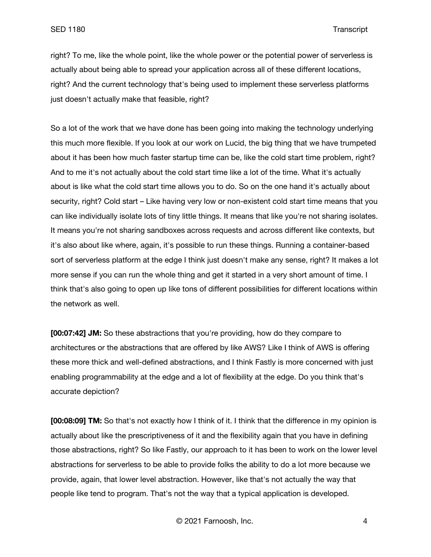right? To me, like the whole point, like the whole power or the potential power of serverless is actually about being able to spread your application across all of these different locations, right? And the current technology that's being used to implement these serverless platforms just doesn't actually make that feasible, right?

So a lot of the work that we have done has been going into making the technology underlying this much more flexible. If you look at our work on Lucid, the big thing that we have trumpeted about it has been how much faster startup time can be, like the cold start time problem, right? And to me it's not actually about the cold start time like a lot of the time. What it's actually about is like what the cold start time allows you to do. So on the one hand it's actually about security, right? Cold start – Like having very low or non-existent cold start time means that you can like individually isolate lots of tiny little things. It means that like you're not sharing isolates. It means you're not sharing sandboxes across requests and across different like contexts, but it's also about like where, again, it's possible to run these things. Running a container-based sort of serverless platform at the edge I think just doesn't make any sense, right? It makes a lot more sense if you can run the whole thing and get it started in a very short amount of time. I think that's also going to open up like tons of different possibilities for different locations within the network as well.

**[00:07:42] JM:** So these abstractions that you're providing, how do they compare to architectures or the abstractions that are offered by like AWS? Like I think of AWS is offering these more thick and well-defined abstractions, and I think Fastly is more concerned with just enabling programmability at the edge and a lot of flexibility at the edge. Do you think that's accurate depiction?

**[00:08:09] TM:** So that's not exactly how I think of it. I think that the difference in my opinion is actually about like the prescriptiveness of it and the flexibility again that you have in defining those abstractions, right? So like Fastly, our approach to it has been to work on the lower level abstractions for serverless to be able to provide folks the ability to do a lot more because we provide, again, that lower level abstraction. However, like that's not actually the way that people like tend to program. That's not the way that a typical application is developed.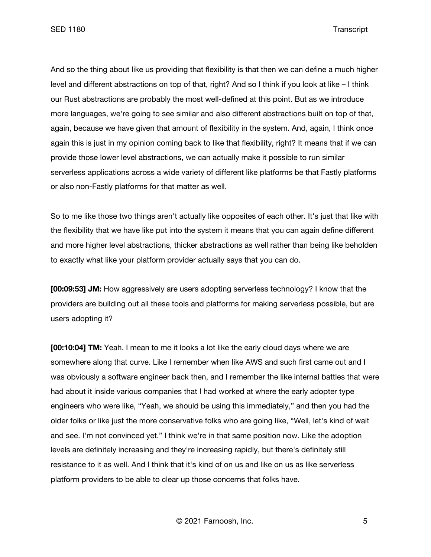SED 1180 Transcript

And so the thing about like us providing that flexibility is that then we can define a much higher level and different abstractions on top of that, right? And so I think if you look at like – I think our Rust abstractions are probably the most well-defined at this point. But as we introduce more languages, we're going to see similar and also different abstractions built on top of that, again, because we have given that amount of flexibility in the system. And, again, I think once again this is just in my opinion coming back to like that flexibility, right? It means that if we can provide those lower level abstractions, we can actually make it possible to run similar serverless applications across a wide variety of different like platforms be that Fastly platforms or also non-Fastly platforms for that matter as well.

So to me like those two things aren't actually like opposites of each other. It's just that like with the flexibility that we have like put into the system it means that you can again define different and more higher level abstractions, thicker abstractions as well rather than being like beholden to exactly what like your platform provider actually says that you can do.

**[00:09:53] JM:** How aggressively are users adopting serverless technology? I know that the providers are building out all these tools and platforms for making serverless possible, but are users adopting it?

**[00:10:04] TM:** Yeah. I mean to me it looks a lot like the early cloud days where we are somewhere along that curve. Like I remember when like AWS and such first came out and I was obviously a software engineer back then, and I remember the like internal battles that were had about it inside various companies that I had worked at where the early adopter type engineers who were like, "Yeah, we should be using this immediately," and then you had the older folks or like just the more conservative folks who are going like, "Well, let's kind of wait and see. I'm not convinced yet." I think we're in that same position now. Like the adoption levels are definitely increasing and they're increasing rapidly, but there's definitely still resistance to it as well. And I think that it's kind of on us and like on us as like serverless platform providers to be able to clear up those concerns that folks have.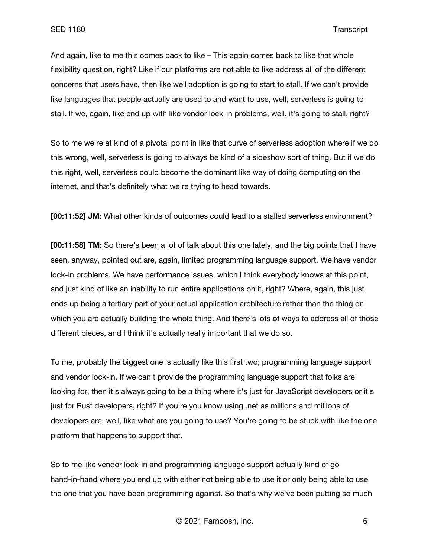And again, like to me this comes back to like – This again comes back to like that whole flexibility question, right? Like if our platforms are not able to like address all of the different concerns that users have, then like well adoption is going to start to stall. If we can't provide like languages that people actually are used to and want to use, well, serverless is going to stall. If we, again, like end up with like vendor lock-in problems, well, it's going to stall, right?

So to me we're at kind of a pivotal point in like that curve of serverless adoption where if we do this wrong, well, serverless is going to always be kind of a sideshow sort of thing. But if we do this right, well, serverless could become the dominant like way of doing computing on the internet, and that's definitely what we're trying to head towards.

**[00:11:52] JM:** What other kinds of outcomes could lead to a stalled serverless environment?

**[00:11:58] TM:** So there's been a lot of talk about this one lately, and the big points that I have seen, anyway, pointed out are, again, limited programming language support. We have vendor lock-in problems. We have performance issues, which I think everybody knows at this point, and just kind of like an inability to run entire applications on it, right? Where, again, this just ends up being a tertiary part of your actual application architecture rather than the thing on which you are actually building the whole thing. And there's lots of ways to address all of those different pieces, and I think it's actually really important that we do so.

To me, probably the biggest one is actually like this first two; programming language support and vendor lock-in. If we can't provide the programming language support that folks are looking for, then it's always going to be a thing where it's just for JavaScript developers or it's just for Rust developers, right? If you're you know using .net as millions and millions of developers are, well, like what are you going to use? You're going to be stuck with like the one platform that happens to support that.

So to me like vendor lock-in and programming language support actually kind of go hand-in-hand where you end up with either not being able to use it or only being able to use the one that you have been programming against. So that's why we've been putting so much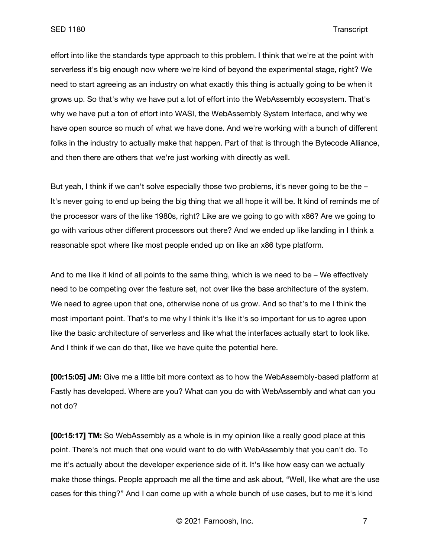effort into like the standards type approach to this problem. I think that we're at the point with serverless it's big enough now where we're kind of beyond the experimental stage, right? We need to start agreeing as an industry on what exactly this thing is actually going to be when it grows up. So that's why we have put a lot of effort into the WebAssembly ecosystem. That's why we have put a ton of effort into WASI, the WebAssembly System Interface, and why we have open source so much of what we have done. And we're working with a bunch of different folks in the industry to actually make that happen. Part of that is through the Bytecode Alliance, and then there are others that we're just working with directly as well.

But yeah, I think if we can't solve especially those two problems, it's never going to be the – It's never going to end up being the big thing that we all hope it will be. It kind of reminds me of the processor wars of the like 1980s, right? Like are we going to go with x86? Are we going to go with various other different processors out there? And we ended up like landing in I think a reasonable spot where like most people ended up on like an x86 type platform.

And to me like it kind of all points to the same thing, which is we need to be – We effectively need to be competing over the feature set, not over like the base architecture of the system. We need to agree upon that one, otherwise none of us grow. And so that's to me I think the most important point. That's to me why I think it's like it's so important for us to agree upon like the basic architecture of serverless and like what the interfaces actually start to look like. And I think if we can do that, like we have quite the potential here.

**[00:15:05] JM:** Give me a little bit more context as to how the WebAssembly-based platform at Fastly has developed. Where are you? What can you do with WebAssembly and what can you not do?

**[00:15:17] TM:** So WebAssembly as a whole is in my opinion like a really good place at this point. There's not much that one would want to do with WebAssembly that you can't do. To me it's actually about the developer experience side of it. It's like how easy can we actually make those things. People approach me all the time and ask about, "Well, like what are the use cases for this thing?" And I can come up with a whole bunch of use cases, but to me it's kind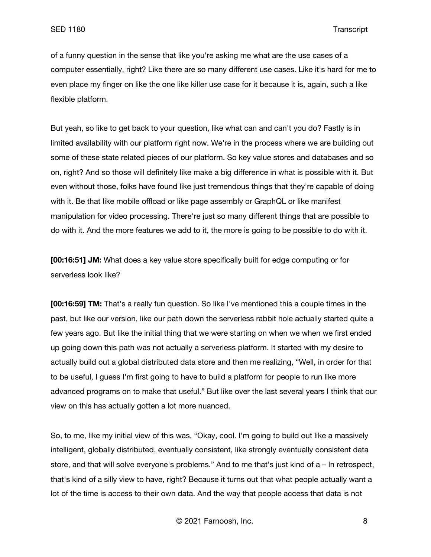of a funny question in the sense that like you're asking me what are the use cases of a computer essentially, right? Like there are so many different use cases. Like it's hard for me to even place my finger on like the one like killer use case for it because it is, again, such a like flexible platform.

But yeah, so like to get back to your question, like what can and can't you do? Fastly is in limited availability with our platform right now. We're in the process where we are building out some of these state related pieces of our platform. So key value stores and databases and so on, right? And so those will definitely like make a big difference in what is possible with it. But even without those, folks have found like just tremendous things that they're capable of doing with it. Be that like mobile offload or like page assembly or GraphQL or like manifest manipulation for video processing. There're just so many different things that are possible to do with it. And the more features we add to it, the more is going to be possible to do with it.

**[00:16:51] JM:** What does a key value store specifically built for edge computing or for serverless look like?

**[00:16:59] TM:** That's a really fun question. So like I've mentioned this a couple times in the past, but like our version, like our path down the serverless rabbit hole actually started quite a few years ago. But like the initial thing that we were starting on when we when we first ended up going down this path was not actually a serverless platform. It started with my desire to actually build out a global distributed data store and then me realizing, "Well, in order for that to be useful, I guess I'm first going to have to build a platform for people to run like more advanced programs on to make that useful." But like over the last several years I think that our view on this has actually gotten a lot more nuanced.

So, to me, like my initial view of this was, "Okay, cool. I'm going to build out like a massively intelligent, globally distributed, eventually consistent, like strongly eventually consistent data store, and that will solve everyone's problems." And to me that's just kind of a – In retrospect, that's kind of a silly view to have, right? Because it turns out that what people actually want a lot of the time is access to their own data. And the way that people access that data is not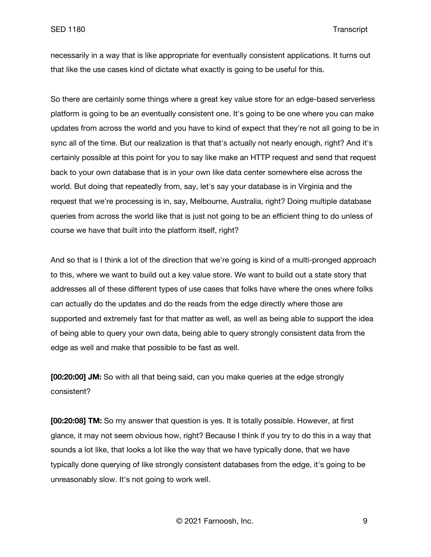necessarily in a way that is like appropriate for eventually consistent applications. It turns out that like the use cases kind of dictate what exactly is going to be useful for this.

So there are certainly some things where a great key value store for an edge-based serverless platform is going to be an eventually consistent one. It's going to be one where you can make updates from across the world and you have to kind of expect that they're not all going to be in sync all of the time. But our realization is that that's actually not nearly enough, right? And it's certainly possible at this point for you to say like make an HTTP request and send that request back to your own database that is in your own like data center somewhere else across the world. But doing that repeatedly from, say, let's say your database is in Virginia and the request that we're processing is in, say, Melbourne, Australia, right? Doing multiple database queries from across the world like that is just not going to be an efficient thing to do unless of course we have that built into the platform itself, right?

And so that is I think a lot of the direction that we're going is kind of a multi-pronged approach to this, where we want to build out a key value store. We want to build out a state story that addresses all of these different types of use cases that folks have where the ones where folks can actually do the updates and do the reads from the edge directly where those are supported and extremely fast for that matter as well, as well as being able to support the idea of being able to query your own data, being able to query strongly consistent data from the edge as well and make that possible to be fast as well.

**[00:20:00] JM:** So with all that being said, can you make queries at the edge strongly consistent?

**[00:20:08] TM:** So my answer that question is yes. It is totally possible. However, at first glance, it may not seem obvious how, right? Because I think if you try to do this in a way that sounds a lot like, that looks a lot like the way that we have typically done, that we have typically done querying of like strongly consistent databases from the edge, it's going to be unreasonably slow. It's not going to work well.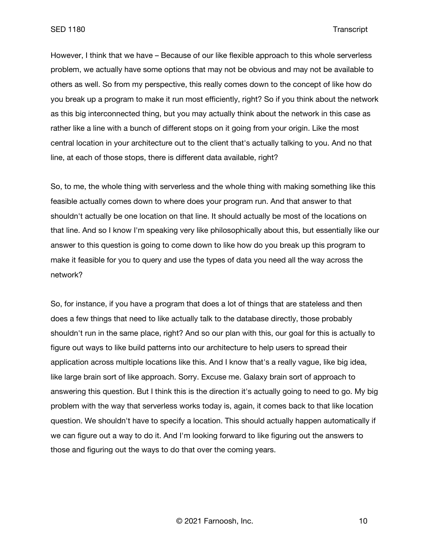However, I think that we have – Because of our like flexible approach to this whole serverless problem, we actually have some options that may not be obvious and may not be available to others as well. So from my perspective, this really comes down to the concept of like how do you break up a program to make it run most efficiently, right? So if you think about the network as this big interconnected thing, but you may actually think about the network in this case as rather like a line with a bunch of different stops on it going from your origin. Like the most central location in your architecture out to the client that's actually talking to you. And no that line, at each of those stops, there is different data available, right?

So, to me, the whole thing with serverless and the whole thing with making something like this feasible actually comes down to where does your program run. And that answer to that shouldn't actually be one location on that line. It should actually be most of the locations on that line. And so I know I'm speaking very like philosophically about this, but essentially like our answer to this question is going to come down to like how do you break up this program to make it feasible for you to query and use the types of data you need all the way across the network?

So, for instance, if you have a program that does a lot of things that are stateless and then does a few things that need to like actually talk to the database directly, those probably shouldn't run in the same place, right? And so our plan with this, our goal for this is actually to figure out ways to like build patterns into our architecture to help users to spread their application across multiple locations like this. And I know that's a really vague, like big idea, like large brain sort of like approach. Sorry. Excuse me. Galaxy brain sort of approach to answering this question. But I think this is the direction it's actually going to need to go. My big problem with the way that serverless works today is, again, it comes back to that like location question. We shouldn't have to specify a location. This should actually happen automatically if we can figure out a way to do it. And I'm looking forward to like figuring out the answers to those and figuring out the ways to do that over the coming years.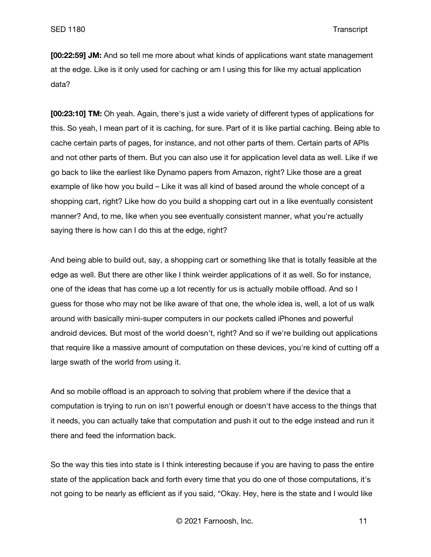**[00:22:59] JM:** And so tell me more about what kinds of applications want state management at the edge. Like is it only used for caching or am I using this for like my actual application data?

**[00:23:10] TM:** Oh yeah. Again, there's just a wide variety of different types of applications for this. So yeah, I mean part of it is caching, for sure. Part of it is like partial caching. Being able to cache certain parts of pages, for instance, and not other parts of them. Certain parts of APIs and not other parts of them. But you can also use it for application level data as well. Like if we go back to like the earliest like Dynamo papers from Amazon, right? Like those are a great example of like how you build – Like it was all kind of based around the whole concept of a shopping cart, right? Like how do you build a shopping cart out in a like eventually consistent manner? And, to me, like when you see eventually consistent manner, what you're actually saying there is how can I do this at the edge, right?

And being able to build out, say, a shopping cart or something like that is totally feasible at the edge as well. But there are other like I think weirder applications of it as well. So for instance, one of the ideas that has come up a lot recently for us is actually mobile offload. And so I guess for those who may not be like aware of that one, the whole idea is, well, a lot of us walk around with basically mini-super computers in our pockets called iPhones and powerful android devices. But most of the world doesn't, right? And so if we're building out applications that require like a massive amount of computation on these devices, you're kind of cutting off a large swath of the world from using it.

And so mobile offload is an approach to solving that problem where if the device that a computation is trying to run on isn't powerful enough or doesn't have access to the things that it needs, you can actually take that computation and push it out to the edge instead and run it there and feed the information back.

So the way this ties into state is I think interesting because if you are having to pass the entire state of the application back and forth every time that you do one of those computations, it's not going to be nearly as efficient as if you said, "Okay. Hey, here is the state and I would like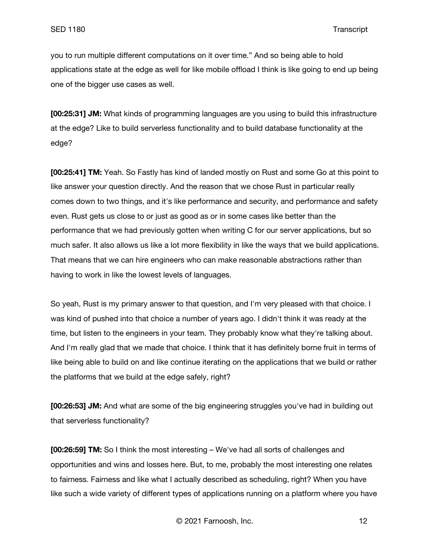you to run multiple different computations on it over time." And so being able to hold applications state at the edge as well for like mobile offload I think is like going to end up being one of the bigger use cases as well.

**[00:25:31] JM:** What kinds of programming languages are you using to build this infrastructure at the edge? Like to build serverless functionality and to build database functionality at the edge?

**[00:25:41] TM:** Yeah. So Fastly has kind of landed mostly on Rust and some Go at this point to like answer your question directly. And the reason that we chose Rust in particular really comes down to two things, and it's like performance and security, and performance and safety even. Rust gets us close to or just as good as or in some cases like better than the performance that we had previously gotten when writing C for our server applications, but so much safer. It also allows us like a lot more flexibility in like the ways that we build applications. That means that we can hire engineers who can make reasonable abstractions rather than having to work in like the lowest levels of languages.

So yeah, Rust is my primary answer to that question, and I'm very pleased with that choice. I was kind of pushed into that choice a number of years ago. I didn't think it was ready at the time, but listen to the engineers in your team. They probably know what they're talking about. And I'm really glad that we made that choice. I think that it has definitely borne fruit in terms of like being able to build on and like continue iterating on the applications that we build or rather the platforms that we build at the edge safely, right?

**[00:26:53] JM:** And what are some of the big engineering struggles you've had in building out that serverless functionality?

**[00:26:59] TM:** So I think the most interesting – We've had all sorts of challenges and opportunities and wins and losses here. But, to me, probably the most interesting one relates to fairness. Fairness and like what I actually described as scheduling, right? When you have like such a wide variety of different types of applications running on a platform where you have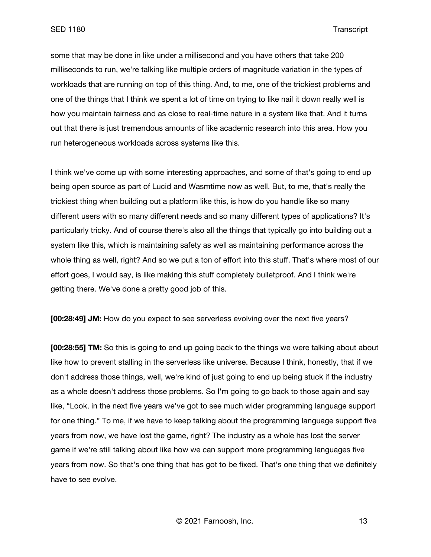some that may be done in like under a millisecond and you have others that take 200 milliseconds to run, we're talking like multiple orders of magnitude variation in the types of workloads that are running on top of this thing. And, to me, one of the trickiest problems and one of the things that I think we spent a lot of time on trying to like nail it down really well is how you maintain fairness and as close to real-time nature in a system like that. And it turns out that there is just tremendous amounts of like academic research into this area. How you run heterogeneous workloads across systems like this.

I think we've come up with some interesting approaches, and some of that's going to end up being open source as part of Lucid and Wasmtime now as well. But, to me, that's really the trickiest thing when building out a platform like this, is how do you handle like so many different users with so many different needs and so many different types of applications? It's particularly tricky. And of course there's also all the things that typically go into building out a system like this, which is maintaining safety as well as maintaining performance across the whole thing as well, right? And so we put a ton of effort into this stuff. That's where most of our effort goes, I would say, is like making this stuff completely bulletproof. And I think we're getting there. We've done a pretty good job of this.

**[00:28:49] JM:** How do you expect to see serverless evolving over the next five years?

**[00:28:55] TM:** So this is going to end up going back to the things we were talking about about like how to prevent stalling in the serverless like universe. Because I think, honestly, that if we don't address those things, well, we're kind of just going to end up being stuck if the industry as a whole doesn't address those problems. So I'm going to go back to those again and say like, "Look, in the next five years we've got to see much wider programming language support for one thing." To me, if we have to keep talking about the programming language support five years from now, we have lost the game, right? The industry as a whole has lost the server game if we're still talking about like how we can support more programming languages five years from now. So that's one thing that has got to be fixed. That's one thing that we definitely have to see evolve.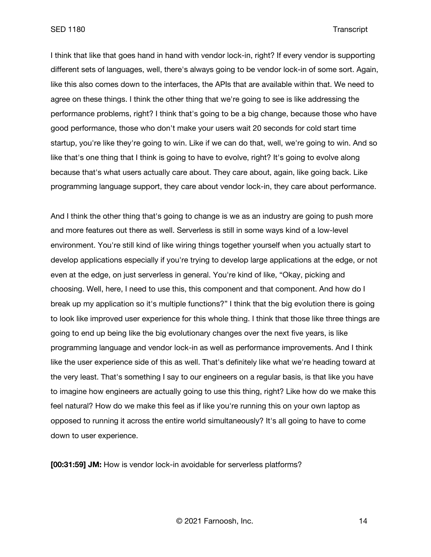## SED 1180 Transcript

I think that like that goes hand in hand with vendor lock-in, right? If every vendor is supporting different sets of languages, well, there's always going to be vendor lock-in of some sort. Again, like this also comes down to the interfaces, the APIs that are available within that. We need to agree on these things. I think the other thing that we're going to see is like addressing the performance problems, right? I think that's going to be a big change, because those who have good performance, those who don't make your users wait 20 seconds for cold start time startup, you're like they're going to win. Like if we can do that, well, we're going to win. And so like that's one thing that I think is going to have to evolve, right? It's going to evolve along because that's what users actually care about. They care about, again, like going back. Like programming language support, they care about vendor lock-in, they care about performance.

And I think the other thing that's going to change is we as an industry are going to push more and more features out there as well. Serverless is still in some ways kind of a low-level environment. You're still kind of like wiring things together yourself when you actually start to develop applications especially if you're trying to develop large applications at the edge, or not even at the edge, on just serverless in general. You're kind of like, "Okay, picking and choosing. Well, here, I need to use this, this component and that component. And how do I break up my application so it's multiple functions?" I think that the big evolution there is going to look like improved user experience for this whole thing. I think that those like three things are going to end up being like the big evolutionary changes over the next five years, is like programming language and vendor lock-in as well as performance improvements. And I think like the user experience side of this as well. That's definitely like what we're heading toward at the very least. That's something I say to our engineers on a regular basis, is that like you have to imagine how engineers are actually going to use this thing, right? Like how do we make this feel natural? How do we make this feel as if like you're running this on your own laptop as opposed to running it across the entire world simultaneously? It's all going to have to come down to user experience.

**[00:31:59] JM:** How is vendor lock-in avoidable for serverless platforms?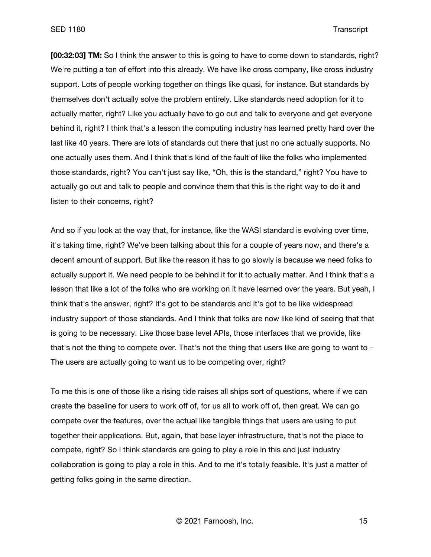**[00:32:03] TM:** So I think the answer to this is going to have to come down to standards, right? We're putting a ton of effort into this already. We have like cross company, like cross industry support. Lots of people working together on things like quasi, for instance. But standards by themselves don't actually solve the problem entirely. Like standards need adoption for it to actually matter, right? Like you actually have to go out and talk to everyone and get everyone behind it, right? I think that's a lesson the computing industry has learned pretty hard over the last like 40 years. There are lots of standards out there that just no one actually supports. No one actually uses them. And I think that's kind of the fault of like the folks who implemented those standards, right? You can't just say like, "Oh, this is the standard," right? You have to actually go out and talk to people and convince them that this is the right way to do it and listen to their concerns, right?

And so if you look at the way that, for instance, like the WASI standard is evolving over time, it's taking time, right? We've been talking about this for a couple of years now, and there's a decent amount of support. But like the reason it has to go slowly is because we need folks to actually support it. We need people to be behind it for it to actually matter. And I think that's a lesson that like a lot of the folks who are working on it have learned over the years. But yeah, I think that's the answer, right? It's got to be standards and it's got to be like widespread industry support of those standards. And I think that folks are now like kind of seeing that that is going to be necessary. Like those base level APIs, those interfaces that we provide, like that's not the thing to compete over. That's not the thing that users like are going to want to – The users are actually going to want us to be competing over, right?

To me this is one of those like a rising tide raises all ships sort of questions, where if we can create the baseline for users to work off of, for us all to work off of, then great. We can go compete over the features, over the actual like tangible things that users are using to put together their applications. But, again, that base layer infrastructure, that's not the place to compete, right? So I think standards are going to play a role in this and just industry collaboration is going to play a role in this. And to me it's totally feasible. It's just a matter of getting folks going in the same direction.